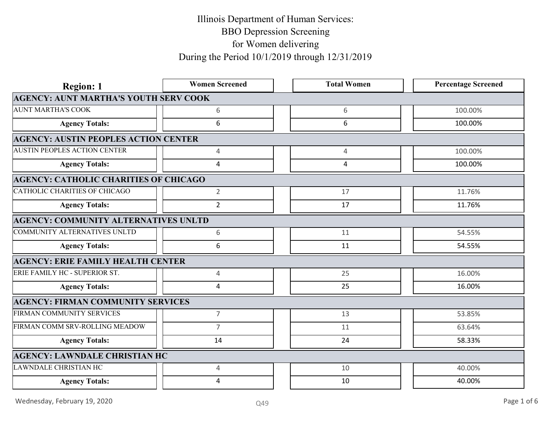| <b>Region: 1</b>                             | <b>Women Screened</b> | <b>Total Women</b> | <b>Percentage Screened</b> |
|----------------------------------------------|-----------------------|--------------------|----------------------------|
| <b>AGENCY: AUNT MARTHA'S YOUTH SERV COOK</b> |                       |                    |                            |
| <b>AUNT MARTHA'S COOK</b>                    | 6                     | 6                  | 100.00%                    |
| <b>Agency Totals:</b>                        | 6                     | 6                  | 100.00%                    |
| <b>AGENCY: AUSTIN PEOPLES ACTION CENTER</b>  |                       |                    |                            |
| <b>AUSTIN PEOPLES ACTION CENTER</b>          | 4                     | $\overline{4}$     | 100.00%                    |
| <b>Agency Totals:</b>                        | $\overline{4}$        | 4                  | 100.00%                    |
| <b>AGENCY: CATHOLIC CHARITIES OF CHICAGO</b> |                       |                    |                            |
| CATHOLIC CHARITIES OF CHICAGO                | $\overline{2}$        | 17                 | 11.76%                     |
| <b>Agency Totals:</b>                        | $\overline{2}$        | 17                 | 11.76%                     |
| <b>AGENCY: COMMUNITY ALTERNATIVES UNLTD</b>  |                       |                    |                            |
| COMMUNITY ALTERNATIVES UNLTD                 | 6                     | 11                 | 54.55%                     |
| <b>Agency Totals:</b>                        | 6                     | 11                 | 54.55%                     |
| <b>AGENCY: ERIE FAMILY HEALTH CENTER</b>     |                       |                    |                            |
| ERIE FAMILY HC - SUPERIOR ST.                | $\overline{4}$        | 25                 | 16.00%                     |
| <b>Agency Totals:</b>                        | 4                     | 25                 | 16.00%                     |
| <b>AGENCY: FIRMAN COMMUNITY SERVICES</b>     |                       |                    |                            |
| FIRMAN COMMUNITY SERVICES                    | $\overline{7}$        | 13                 | 53.85%                     |
| FIRMAN COMM SRV-ROLLING MEADOW               | $\overline{7}$        | 11                 | 63.64%                     |
| <b>Agency Totals:</b>                        | 14                    | 24                 | 58.33%                     |
| <b>AGENCY: LAWNDALE CHRISTIAN HC</b>         |                       |                    |                            |
| LAWNDALE CHRISTIAN HC                        | 4                     | 10                 | 40.00%                     |
| <b>Agency Totals:</b>                        | 4                     | 10                 | 40.00%                     |
| Wednesday, February 19, 2020                 | Q49                   |                    | Page 1 of 6                |
|                                              |                       |                    |                            |
|                                              |                       |                    |                            |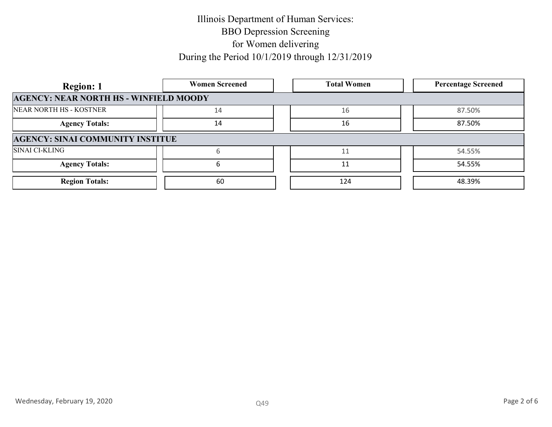| <b>Women Screened</b>                         | <b>Total Women</b> | <b>Percentage Screened</b> |
|-----------------------------------------------|--------------------|----------------------------|
| <b>AGENCY: NEAR NORTH HS - WINFIELD MOODY</b> |                    |                            |
| 14                                            | 16                 | 87.50%                     |
| 14                                            | 16                 | 87.50%                     |
| <b>AGENCY: SINAI COMMUNITY INSTITUE</b>       |                    |                            |
|                                               |                    | 54.55%                     |
|                                               | 11                 | 54.55%                     |
| 60                                            | 124                | 48.39%                     |
|                                               |                    |                            |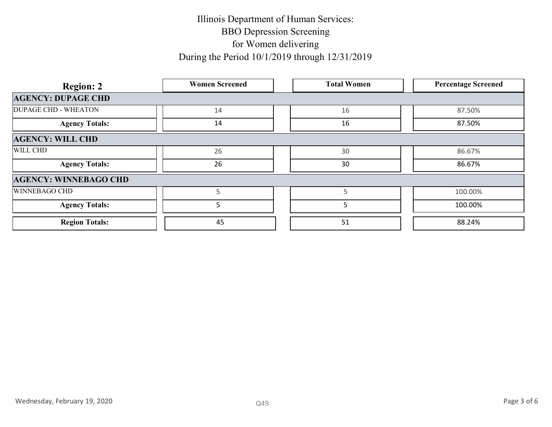| <b>Region: 2</b>             | <b>Women Screened</b> | <b>Total Women</b> | <b>Percentage Screened</b> |  |
|------------------------------|-----------------------|--------------------|----------------------------|--|
| <b>AGENCY: DUPAGE CHD</b>    |                       |                    |                            |  |
| <b>DUPAGE CHD - WHEATON</b>  | 14                    | 16                 | 87.50%                     |  |
| <b>Agency Totals:</b>        | 14                    | 16                 | 87.50%                     |  |
| <b>AGENCY: WILL CHD</b>      |                       |                    |                            |  |
| WILL CHD                     | 26                    | 30                 | 86.67%                     |  |
| <b>Agency Totals:</b>        | 26                    | 30                 | 86.67%                     |  |
| <b>AGENCY: WINNEBAGO CHD</b> |                       |                    |                            |  |
| WINNEBAGO CHD                | $5\phantom{.0}$       | $5\phantom{.0}$    | 100.00%                    |  |
| <b>Agency Totals:</b>        | $5\phantom{.}$        | 5                  | 100.00%                    |  |
| <b>Region Totals:</b>        | 45                    | 51                 | 88.24%                     |  |
|                              |                       |                    |                            |  |
|                              |                       |                    |                            |  |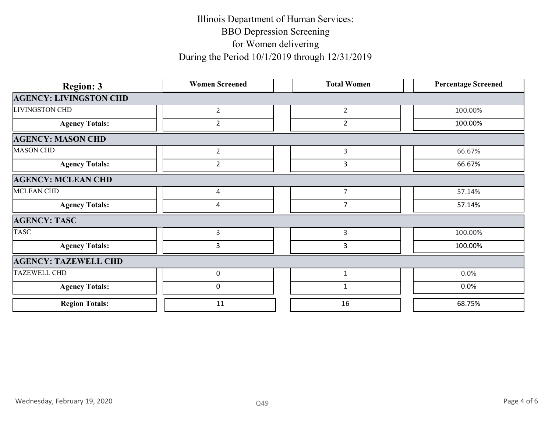| <b>Region: 3</b>              | <b>Women Screened</b> | <b>Total Women</b> | <b>Percentage Screened</b> |
|-------------------------------|-----------------------|--------------------|----------------------------|
| <b>AGENCY: LIVINGSTON CHD</b> |                       |                    |                            |
| LIVINGSTON CHD                | $2^{\circ}$           | $\overline{2}$     | 100.00%                    |
| <b>Agency Totals:</b>         | $2^{\circ}$           | $\overline{2}$     | 100.00%                    |
| <b>AGENCY: MASON CHD</b>      |                       |                    |                            |
| <b>MASON CHD</b>              | $\overline{2}$        | $\mathbf{3}$       | 66.67%                     |
| <b>Agency Totals:</b>         | $\overline{2}$        | $\mathbf{3}$       | 66.67%                     |
| <b>AGENCY: MCLEAN CHD</b>     |                       |                    |                            |
| MCLEAN CHD                    | 4                     | $\overline{7}$     | 57.14%                     |
| <b>Agency Totals:</b>         | $\overline{4}$        | $\overline{7}$     | 57.14%                     |
| <b>AGENCY: TASC</b>           |                       |                    |                            |
| <b>TASC</b>                   | $\mathbf{3}$          | $\mathbf{3}$       | 100.00%                    |
| <b>Agency Totals:</b>         | $\overline{3}$        | $\mathbf{3}$       | 100.00%                    |
| <b>AGENCY: TAZEWELL CHD</b>   |                       |                    |                            |
| <b>TAZEWELL CHD</b>           | $\mathbf 0$           | $\mathbf{1}$       | 0.0%                       |
| <b>Agency Totals:</b>         | $\mathbf 0$           | $\mathbf{1}$       | $0.0\%$                    |
| <b>Region Totals:</b>         | 11                    | 16                 | 68.75%                     |
|                               |                       |                    |                            |
| Wednesday, February 19, 2020  | Q49                   |                    | Page 4 of 6                |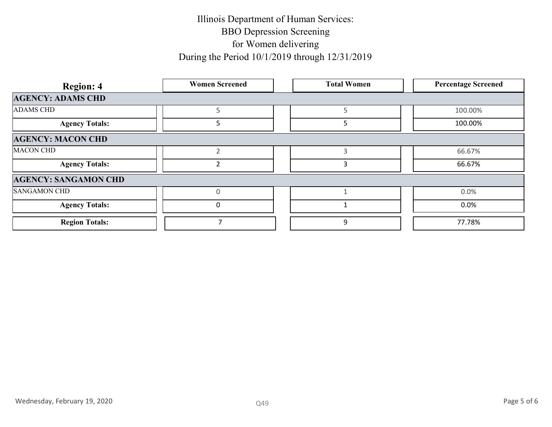| <b>Region: 4</b>            | <b>Women Screened</b> | <b>Total Women</b> | <b>Percentage Screened</b> |
|-----------------------------|-----------------------|--------------------|----------------------------|
| <b>AGENCY: ADAMS CHD</b>    |                       |                    |                            |
| <b>ADAMS CHD</b>            | $5\phantom{.0}$       | $5\phantom{.0}$    | 100.00%                    |
| <b>Agency Totals:</b>       | $5\phantom{.}$        | $5\phantom{.0}$    | 100.00%                    |
| <b>AGENCY: MACON CHD</b>    |                       |                    |                            |
| <b>MACON CHD</b>            | $\overline{2}$        | $\mathsf{3}$       | 66.67%                     |
| <b>Agency Totals:</b>       | $\overline{2}$        | $\overline{3}$     | 66.67%                     |
| <b>AGENCY: SANGAMON CHD</b> |                       |                    |                            |
| <b>SANGAMON CHD</b>         | $\mathsf{O}\xspace$   | $\mathbf{1}$       | 0.0%                       |
| <b>Agency Totals:</b>       | $\mathbf 0$           | $1\,$              | $0.0\%$                    |
| <b>Region Totals:</b>       | $\overline{7}$        | $\boldsymbol{9}$   | 77.78%                     |
|                             |                       |                    |                            |
|                             |                       |                    |                            |